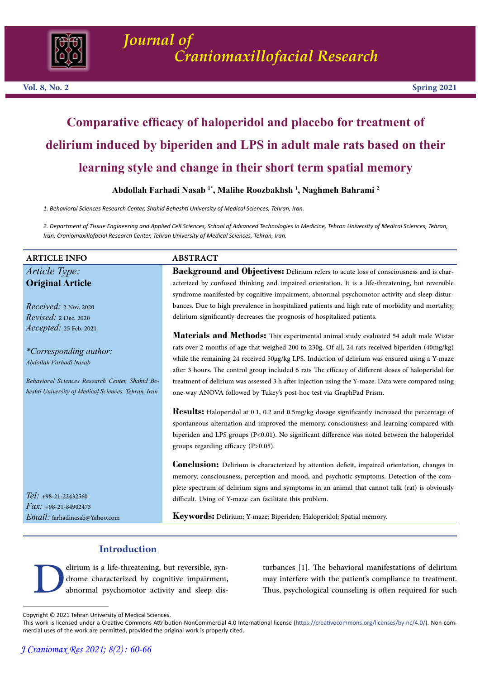

# **Comparative efficacy of haloperidol and placebo for treatment of delirium induced by biperiden and LPS in adult male rats based on their learning style and change in their short term spatial memory**

# **Abdollah Farhadi Nasab 1\*, Malihe Roozbakhsh <sup>1</sup> , Naghmeh Bahrami <sup>2</sup>**

*1. Behavioral Sciences Research Center, Shahid Beheshti University of Medical Sciences, Tehran, Iran.*

*2. Department of Tissue Engineering and Applied Cell Sciences, School of Advanced Technologies in Medicine, Tehran University of Medical Sciences, Tehran, Iran; Craniomaxillofacial Research Center, Tehran University of Medical Sciences, Tehran, Iran.*

# **ARTICLE INFO ABSTRACT**

*Article Type:* **Original Article**

*Received:* 2 Nov. 2020 *Revised:* 2 Dec. 2020 *Accepted:* 25 Feb. 2021

*\*Corresponding author: Abdollah Farhadi Nasab*

*Behavioral Sciences Research Center, Shahid Beheshti University of Medical Sciences, Tehran, Iran.*

*Tel: +*98-21-22432560 *Fax: +*98-21-84902473 *Email:* farhadinasab@Yahoo.com

**Background and Objectives:** Delirium refers to acute loss of consciousness and is characterized by confused thinking and impaired orientation. It is a life-threatening, but reversible syndrome manifested by cognitive impairment, abnormal psychomotor activity and sleep disturbances. Due to high prevalence in hospitalized patients and high rate of morbidity and mortality, delirium significantly decreases the prognosis of hospitalized patients.

**Materials and Methods:** This experimental animal study evaluated 54 adult male Wistar rats over 2 months of age that weighed 200 to 230g. Of all, 24 rats received biperiden (40mg/kg) while the remaining 24 received 50µg/kg LPS. Induction of delirium was ensured using a Y-maze after 3 hours. The control group included 6 rats The efficacy of different doses of haloperidol for treatment of delirium was assessed 3 h after injection using the Y-maze. Data were compared using one-way ANOVA followed by Tukey's post-hoc test via GraphPad Prism.

**Results:** Haloperidol at 0.1, 0.2 and 0.5mg/kg dosage significantly increased the percentage of spontaneous alternation and improved the memory, consciousness and learning compared with biperiden and LPS groups (P<0.01). No significant difference was noted between the haloperidol groups regarding efficacy (P>0.05).

**Conclusion:** Delirium is characterized by attention deficit, impaired orientation, changes in memory, consciousness, perception and mood, and psychotic symptoms. Detection of the complete spectrum of delirium signs and symptoms in an animal that cannot talk (rat) is obviously difficult. Using of Y-maze can facilitate this problem.

**Keywords:** Delirium; Y-maze; Biperiden; Haloperidol; Spatial memory.

# **Introduction**

elirium is a life-threatening, but reversible, syn-<br>drome characterized by cognitive impairment, abnormal psychomotor activity and sleep disturbances [1]. The behavioral manifestations of delirium may interfere with the patient's compliance to treatment. Thus, psychological counseling is often required for such

Copyright © 2021 Tehran University of Medical Sciences.

This work is licensed under a Creative Commons Attribution-NonCommercial 4.0 International license (https://creativecommons.org/licenses/by-nc/4.0/). Non-commercial uses of the work are permitted, provided the original work is properly cited.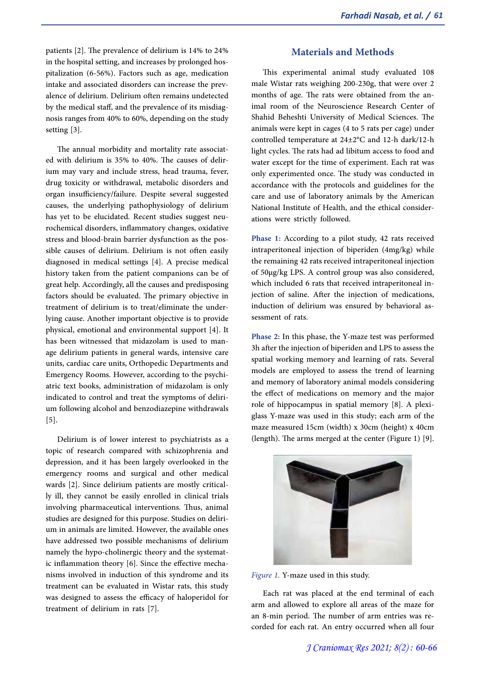patients [2]. The prevalence of delirium is 14% to 24% in the hospital setting, and increases by prolonged hos- pitalization (6-56%). Factors such as age, medication intake and associated disorders can increase the prev-<br>alence of delirium. Delirium often remains undetected<br>by the medical staff, and the prevalence of its misdiagnosis ranges from 40% to 60%, depending on the study setting [3].

The annual morbidity and mortality rate associated with delirium is 35% to 40%. The causes of delirium may vary and include stress, head trauma, fever, drug toxicity or withdrawal, metabolic disorders and organ insufficiency/failure. Despite several suggested causes, the underlying pathophysiology of delirium has yet to be elucidated. Recent studies suggest neurochemical disorders, inflammatory changes, oxidative stress and blood-brain barrier dysfunction as the possible causes of delirium. Delirium is not often easily diagnosed in medical settings [4]. A precise medical history taken from the patient companions can be of great help. Accordingly, all the causes and predisposing factors should be evaluated. The primary objective in lying cause. Another important objective is to provide physical, emotional and environmental support [4]. It has been witnessed that midazolam is used to man-<br>age delirium patients in general wards, intensive care units, cardiac care units, Orthopedic Departments and Emergency Rooms. However, according to the psychi- atric text books, administration of midazolam is only indicated to control and treat the symptoms of deliri- um following alcohol and benzodiazepine withdrawals [5].

Delirium is of lower interest to psychiatrists as a topic of research compared with schizophrenia and depression, and it has been largely overlooked in the emergency rooms and surgical and other medical wards [2]. Since delirium patients are mostly critical-<br>ly ill, they cannot be easily enrolled in clinical trials involving pharmaceutical interventions. Thus, animal studies are designed for this purpose. Studies on deliri- um in animals are limited. However, the available ones have addressed two possible mechanisms of delirium namely the hypo-cholinergic theory and the systemat-<br>ic inflammation theory [6]. Since the effective mecha-<br>nisms involved in induction of this syndrome and its treatment can be evaluated in Wistar rats, this study was designed to assess the efficacy of haloperidol for treatment of delirium in rats [7].

# **Materials and Methods**

This experimental animal study evaluated 108 male Wistar rats weighing 200-230g, that were over 2 months of age. The rats were obtained from the animal room of the Neuroscience Research Center of Shahid Beheshti University of Medical Sciences. The animals were kept in cages (4 to 5 rats per cage) under controlled temperature at 24±2°C and 12-h dark/12-h light cycles. The rats had ad libitum access to food and water except for the time of experiment. Each rat was only experimented once. The study was conducted in accordance with the protocols and guidelines for the care and use of laboratory animals by the American National Institute of Health, and the ethical consider- ations were strictly followed.

**Phase 1:** According to a pilot study, 42 rats received intraperitoneal injection of biperiden (4mg/kg) while the remaining 42 rats received intraperitoneal injection of 50µg/kg LPS. A control group was also considered, which included 6 rats that received intraperitoneal injection of saline. After the injection of medications, induction of delirium was ensured by behavioral assessment of rats.

**Phase 2:** In this phase, the Y-maze test was performed 3h after the injection of biperiden and LPS to assess the spatial working memory and learning of rats. Several models are employed to assess the trend of learning and memory of laboratory animal models considering the effect of medications on memory and the major role of hippocampus in spatial memory [8]. A plexi- glass Y-maze was used in this study; each arm of the maze measured 15cm (width) x 30cm (height) x 40cm (length). The arms merged at the center (Figure 1) [9].



*Figure 1.* Y-maze used in this study.

Each rat was placed at the end terminal of each arm and allowed to explore all areas of the maze for an 8-min period. The number of arm entries was re- corded for each rat. An entry occurred when all four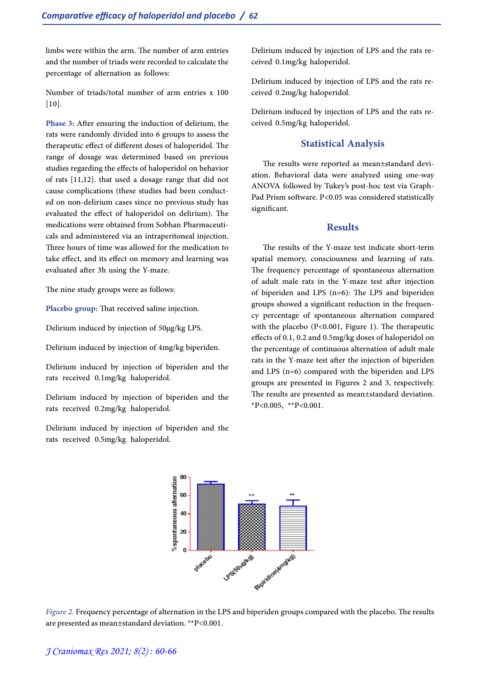limbs were within the arm. The number of arm entries and the number of triads were recorded to calculate the percentage of alternation as follows:

Number of triads/total number of arm entries x 100  $[10]$ .

**Phase 3:** After ensuring the induction of delirium, the rats were randomly divided into 6 groups to assess the therapeutic effect of different doses of haloperidol. The range of dosage was determined based on previous studies regarding the effects of haloperidol on behavior of rats [11,12]. that used a dosage range that did not cause complications (these studies had been conduct- ed on non-delirium cases since no previous study has evaluated the effect of haloperidol on delirium). The medications were obtained from Sobhan Pharmaceuticals and administered via an intraperitoneal injection. Three hours of time was allowed for the medication to take effect, and its effect on memory and learning was evaluated after 3h using the Y-maze.

The nine study groups were as follows:

**Placebo group:** That received saline injection.

Delirium induced by injection of 50µg/kg LPS.

Delirium induced by injection of 4mg/kg biperiden.

Delirium induced by injection of biperiden and the rats received 0.1mg/kg haloperidol.

Delirium induced by injection of biperiden and the rats received 0.2mg/kg haloperidol.

Delirium induced by injection of biperiden and the rats received 0.5mg/kg haloperidol.

Delirium induced by injection of LPS and the rats received 0.1mg/kg haloperidol.

Delirium induced by injection of LPS and the rats re- ceived 0.2mg/kg haloperidol.

Delirium induced by injection of LPS and the rats re- ceived 0.5mg/kg haloperidol.

#### **Statistical Analysis**

The results were reported as mean±standard devi- ation. Behavioral data were analyzed using one-way ANOVA followed by Tukey's post-hoc test via Graph- Pad Prism software. P<0.05 was considered statistically significant.

#### **Results**

The results of the Y-maze test indicate short-term spatial memory, consciousness and learning of rats. The frequency percentage of spontaneous alternation of adult male rats in the Y-maze test after injection of biperiden and LPS (n=6): The LPS and biperiden groups showed a significant reduction in the frequen- cy percentage of spontaneous alternation compared with the placebo (P<0.001, Figure 1). The therapeutic effects of 0.1, 0.2 and 0.5mg/kg doses of haloperidol on the percentage of continuous alternation of adult male rats in the Y-maze test after the injection of biperiden and LPS (n=6) compared with the biperiden and LPS groups are presented in Figures 2 and 3, respectively. The results are presented as mean±standard deviation.  $*P<0.005$ ,  $*P<0.001$ .



*Figure 2.* Frequency percentage of alternation in the LPS and biperiden groups compared with the placebo. The results are presented as mean±standard deviation. \*\*P<0.001.

# *J Craniomax Res 2021; 8(2) : 60-66*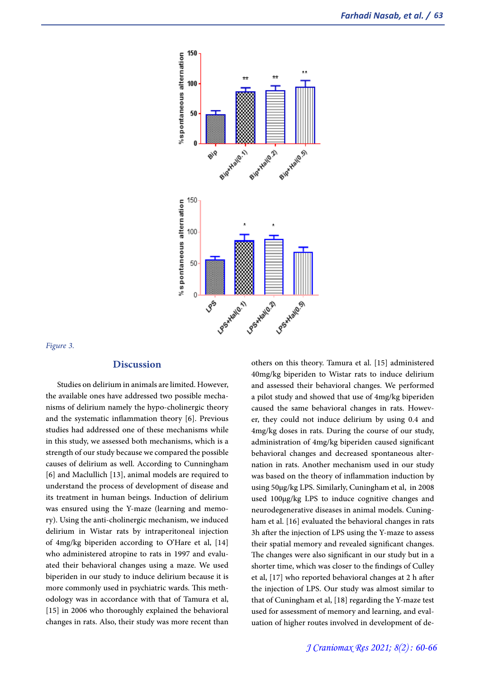

#### *Figure 3.*

#### **Discussion**

Studies on delirium in animals are limited. However, the available ones have addressed two possible mecha- nisms of delirium namely the hypo-cholinergic theory and the systematic inflammation theory [6]. Previous studies had addressed one of these mechanisms while in this study, we assessed both mechanisms, which is a strength of our study because we compared the possible causes of delirium as well. According to Cunningham [6] and Maclullich [13], animal models are required to understand the process of development of disease and its treatment in human beings. Induction of delirium was ensured using the Y-maze (learning and memo-<br>ry). Using the anti-cholinergic mechanism, we induced delirium in Wistar rats by intraperitoneal injection of 4mg/kg biperiden according to O'Hare et al, [14] who administered atropine to rats in 1997 and evalu- ated their behavioral changes using a maze. We used biperiden in our study to induce delirium because it is more commonly used in psychiatric wards. This meth- odology was in accordance with that of Tamura et al, [15] in 2006 who thoroughly explained the behavioral changes in rats. Also, their study was more recent than

others on this theory. Tamura et al. [15] administered 40mg/kg biperiden to Wistar rats to induce delirium and assessed their behavioral changes. We performed a pilot study and showed that use of 4mg/kg biperiden caused the same behavioral changes in rats. Howev- er, they could not induce delirium by using 0.4 and 4mg/kg doses in rats. During the course of our study, administration of 4mg/kg biperiden caused significant behavioral changes and decreased spontaneous alternation in rats. Another mechanism used in our study was based on the theory of inflammation induction by using 50µg/kg LPS. Similarly, Cuningham et al, in 2008 used 100µg/kg LPS to induce cognitive changes and neurodegenerative diseases in animal models. Cuning- ham et al. [16] evaluated the behavioral changes in rats 3h after the injection of LPS using the Y-maze to assess their spatial memory and revealed significant changes. The changes were also significant in our study but in a shorter time, which was closer to the findings of Culley et al, [17] who reported behavioral changes at 2 h after the injection of LPS. Our study was almost similar to that of Cuningham et al, [18] regarding the Y-maze test used for assessment of memory and learning, and evaluation of higher routes involved in development of de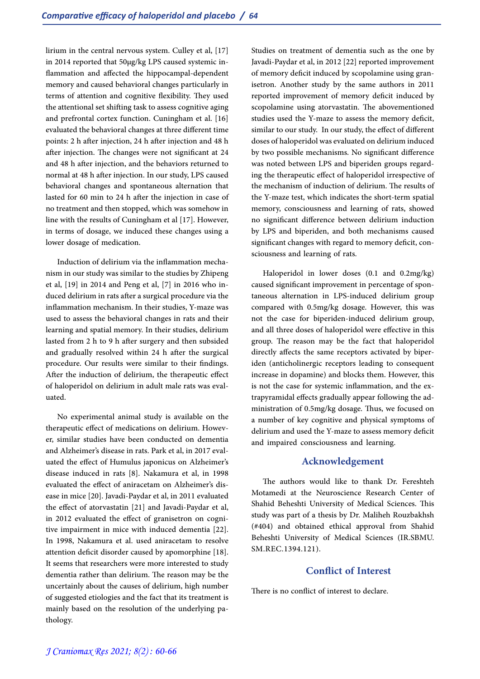lirium in the central nervous system. Culley et al, [17] in 2014 reported that 50µg/kg LPS caused systemic in- flammation and affected the hippocampal-dependent memory and caused behavioral changes particularly in terms of attention and cognitive flexibility. They used the attentional set shifting task to assess cognitive aging and prefrontal cortex function. Cuningham et al. [16] evaluated the behavioral changes at three different time points: 2 h after injection, 24 h after injection and 48 h after injection. The changes were not significant at 24 and 48 h after injection, and the behaviors returned to normal at 48 h after injection. In our study, LPS caused behavioral changes and spontaneous alternation that lasted for 60 min to 24 h after the injection in case of no treatment and then stopped, which was somehow in line with the results of Cuningham et al [17]. However, in terms of dosage, we induced these changes using a lower dosage of medication.

Induction of delirium via the inflammation mecha- nism in our study was similar to the studies by Zhipeng et al, [19] in 2014 and Peng et al, [7] in 2016 who in- duced delirium in rats after a surgical procedure via the inflammation mechanism. In their studies, Y-maze was used to assess the behavioral changes in rats and their learning and spatial memory. In their studies, delirium lasted from 2 h to 9 h after surgery and then subsided and gradually resolved within 24 h after the surgical procedure. Our results were similar to their findings. After the induction of delirium, the therapeutic effect of haloperidol on delirium in adult male rats was eval- uated.

No experimental animal study is available on the therapeutic effect of medications on delirium. Howev-<br>er, similar studies have been conducted on dementia and Alzheimer's disease in rats. Park et al, in 2017 eval- uated the effect of Humulus japonicus on Alzheimer's disease induced in rats [8]. Nakamura et al, in 1998 evaluated the effect of aniracetam on Alzheimer's dis- ease in mice [20]. Javadi-Paydar et al, in 2011 evaluated the effect of atorvastatin [21] and Javadi-Paydar et al, in 2012 evaluated the effect of granisetron on cognitive impairment in mice with induced dementia [22]. In 1998, Nakamura et al. used aniracetam to resolve attention deficit disorder caused by apomorphine [18]. It seems that researchers were more interested to study dementia rather than delirium. The reason may be the uncertainly about the causes of delirium, high number of suggested etiologies and the fact that its treatment is mainly based on the resolution of the underlying pathology.

Studies on treatment of dementia such as the one by Javadi-Paydar et al, in 2012 [22] reported improvement<br>of memory deficit induced by scopolamine using granisetron. Another study by the same authors in 2011 reported improvement of memory deficit induced by scopolamine using atorvastatin. The abovementioned studies used the Y-maze to assess the memory deficit, similar to our study. In our study, the effect of different doses of haloperidol was evaluated on delirium induced by two possible mechanisms. No significant difference was noted between LPS and biperiden groups regard- ing the therapeutic effect of haloperidol irrespective of the mechanism of induction of delirium. The results of the Y-maze test, which indicates the short-term spatial memory, consciousness and learning of rats, showed no significant difference between delirium induction by LPS and biperiden, and both mechanisms caused significant changes with regard to memory deficit, consciousness and learning of rats.

Haloperidol in lower doses (0.1 and 0.2mg/kg) caused significant improvement in percentage of spon- taneous alternation in LPS-induced delirium group compared with 0.5mg/kg dosage. However, this was not the case for biperiden-induced delirium group, and all three doses of haloperidol were effective in this group. The reason may be the fact that haloperidol directly affects the same receptors activated by biper-<br>iden (anticholinergic receptors leading to consequent increase in dopamine) and blocks them. However, this is not the case for systemic inflammation, and the ex-<br>trapyramidal effects gradually appear following the ad-<br>ministration of 0.5mg/kg dosage. Thus, we focused on a number of key cognitive and physical symptoms of delirium and used the Y-maze to assess memory deficit and impaired consciousness and learning.

## **Acknowledgement**

The authors would like to thank Dr. Fereshteh Motamedi at the Neuroscience Research Center of Shahid Beheshti University of Medical Sciences. This study was part of a thesis by Dr. Maliheh Rouzbakhsh (#404) and obtained ethical approval from Shahid Beheshti University of Medical Sciences (IR.SBMU. SM.REC.1394.121).

# **Conflict of Interest**

There is no conflict of interest to declare.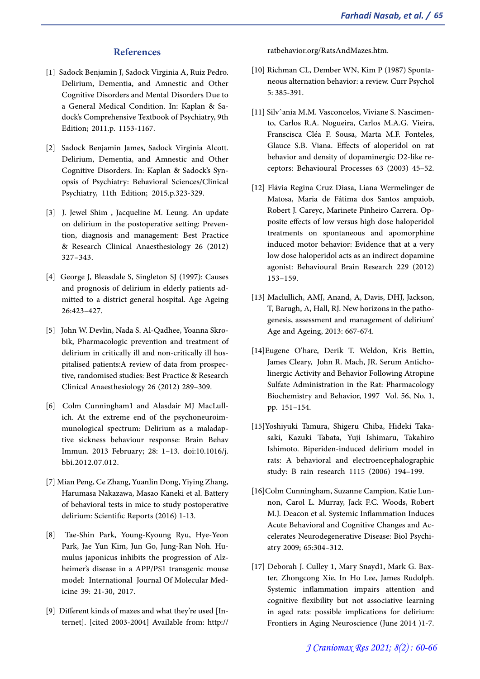## **References**

- [1] Sadock Benjamin J, Sadock Virginia A, Ruiz Pedro. Delirium, Dementia, and Amnestic and Other Cognitive Disorders and Mental Disorders Due to a General Medical Condition. In: Kaplan & Sadock's Comprehensive Textbook of Psychiatry, 9th Edition; 2011.p. 1153-1167.
- [2] Sadock Benjamin James, Sadock Virginia Alcott. Delirium, Dementia, and Amnestic and Other<br>Cognitive Disorders. In: Kaplan & Sadock's Synopsis of Psychiatry: Behavioral Sciences/Clinical Psychiatry, 11th Edition; 2015.p.323-329.
- [3] J. Jewel Shim , Jacqueline M. Leung. An update tion, diagnosis and management: Best Practice & Research Clinical Anaesthesiology 26 (2012) 327–343.
- [4] George J, Bleasdale S, Singleton SJ (1997): Causes and prognosis of delirium in elderly patients admitted to a district general hospital. Age Ageing 26:423–427.
- [5] John W. Devlin, Nada S. Al-Qadhee, Yoanna Skrobik, Pharmacologic prevention and treatment of delirium in critically ill and non-critically ill hospitalised patients:A review of data from prospective, randomised studies: Best Practice & Research Clinical Anaesthesiology 26 (2012) 289–309.
- [6] Colm Cunningham1 and Alasdair MJ MacLullich. At the extreme end of the psychoneuroimmunological spectrum: Delirium as a maladaptive sickness behaviour response: Brain Behav Immun. 2013 February; 28: 1–13. doi:10.1016/j. bbi.2012.07.012.
- [7] Mian Peng, Ce Zhang, Yuanlin Dong, Yiying Zhang, Harumasa Nakazawa, Masao Kaneki et al. Battery of behavioral tests in mice to study postoperative delirium: Scientific Reports (2016) 1-13.
- [8] Tae-Shin Park, Young-Kyoung Ryu, Hye-Yeon Park, Jae Yun Kim, Jun Go, Jung-Ran Noh. Humulus japonicus inhibits the progression of Alzheimer's disease in a APP/PS1 transgenic mouse model: International Journal Of Molecular Medicine 39: 21-30, 2017.
- [9] Different kinds of mazes and what they're used [In- ternet]. [cited 2003-2004] Available from: http://

ratbehavior.org/RatsAndMazes.htm.

- [10] Richman CL, Dember WN, Kim P (1987) Sponta- neous alternation behavior: a review. Curr Psychol 5: 385-391.
- [11] Silvˆania M.M. Vasconcelos, Viviane S. Nascimento, Carlos R.A. Nogueira, Carlos M.A.G. Vieira, Franscisca Cléa F. Sousa, Marta M.F. Fonteles, Glauce S.B. Viana. Effects of aloperidol on rat behavior and density of dopaminergic D2-like receptors: Behavioural Processes 63 (2003) 45–52.
- [12] Flávia Regina Cruz Diasa, Liana Wermelinger de Matosa, Maria de Fátima dos Santos ampaiob, Robert J. Careyc, Marinete Pinheiro Carrera. Opposite effects of low versus high dose haloperidol treatments on spontaneous and apomorphine induced motor behavior: Evidence that at a very low dose haloperidol acts as an indirect dopamine agonist: Behavioural Brain Research 229 (2012) 153–159.
- [13] Maclullich, AMJ, Anand, A, Davis, DHJ, Jackson, T, Barugh, A, Hall, RJ. New horizons in the pathogenesis, assessment and management of delirium' Age and Ageing, 2013: 667-674.
- [14]Eugene O'hare, Derik T. Weldon, Kris Bettin, James Cleary, John R. Mach, JR. Serum Anticholinergic Activity and Behavior Following Atropine Sulfate Administration in the Rat: Pharmacology Biochemistry and Behavior, 1997 Vol. 56, No. 1, pp. 151–154.
- [15]Yoshiyuki Tamura, Shigeru Chiba, Hideki Taka- saki, Kazuki Tabata, Yuji Ishimaru, Takahiro Ishimoto. Biperiden-induced delirium model in rats: A behavioral and electroencephalographic study: B rain research 1115 (2006) 194–199.
- [16]Colm Cunningham, Suzanne Campion, Katie Lun- non, Carol L. Murray, Jack F.C. Woods, Robert M.J. Deacon et al. Systemic Inflammation Induces Acute Behavioral and Cognitive Changes and Ac- celerates Neurodegenerative Disease: Biol Psychi- atry 2009; 65:304–312.
- [17] Deborah J. Culley 1, Mary Snayd1, Mark G. Baxter, Zhongcong Xie, In Ho Lee, James Rudolph. Systemic inflammation impairs attention and cognitive flexibility but not associative learning in aged rats: possible implications for delirium: Frontiers in Aging Neuroscience (June 2014 )1-7.